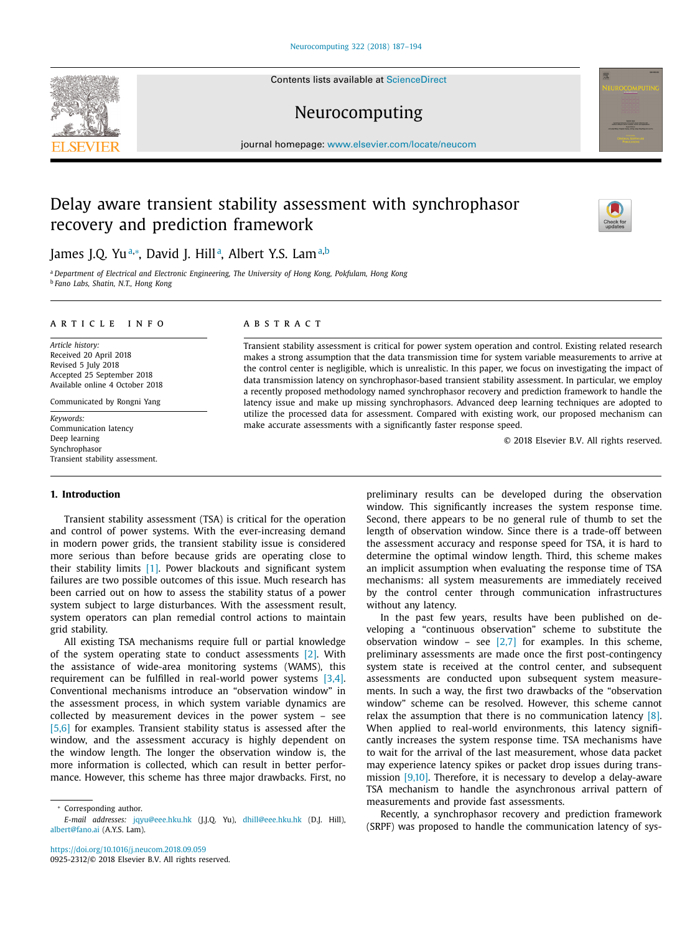Contents lists available at [ScienceDirect](http://www.ScienceDirect.com)

# Neurocomputing

journal homepage: [www.elsevier.com/locate/neucom](http://www.elsevier.com/locate/neucom)

# Delay aware transient stability assessment with synchrophasor recovery and prediction framework

James J.Q. Yuª∗\*, David J. Hillª, Albert Y.S. Lamª<sup>,b</sup>

<sup>a</sup> *Department of Electrical and Electronic Engineering, The University of Hong Kong, Pokfulam, Hong Kong* <sup>b</sup> *Fano Labs, Shatin, N.T., Hong Kong*

# a r t i c l e i n f o

*Article history:* Received 20 April 2018 Revised 5 July 2018 Accepted 25 September 2018 Available online 4 October 2018

Communicated by Rongni Yang

*Keywords:* Communication latency Deep learning Synchrophasor Transient stability assessment.

# **1. Introduction**

Transient stability assessment (TSA) is critical for the operation and control of power systems. With the ever-increasing demand in modern power grids, the transient stability issue is considered more serious than before because grids are operating close to their stability limits [\[1\].](#page-6-0) Power blackouts and significant system failures are two possible outcomes of this issue. Much research has been carried out on how to assess the stability status of a power system subject to large disturbances. With the assessment result, system operators can plan remedial control actions to maintain grid stability.

All existing TSA mechanisms require full or partial knowledge of the system operating state to conduct assessments [\[2\].](#page-6-0) With the assistance of wide-area monitoring systems (WAMS), this requirement can be fulfilled in real-world power systems [\[3,4\].](#page-7-0) Conventional mechanisms introduce an "observation window" in the assessment process, in which system variable dynamics are collected by measurement devices in the power system – see [\[5,6\]](#page-7-0) for examples. Transient stability status is assessed after the window, and the assessment accuracy is highly dependent on the window length. The longer the observation window is, the more information is collected, which can result in better performance. However, this scheme has three major drawbacks. First, no

<https://doi.org/10.1016/j.neucom.2018.09.059> 0925-2312/© 2018 Elsevier B.V. All rights reserved.

# A B S T R A C T

Transient stability assessment is critical for power system operation and control. Existing related research makes a strong assumption that the data transmission time for system variable measurements to arrive at the control center is negligible, which is unrealistic. In this paper, we focus on investigating the impact of data transmission latency on synchrophasor-based transient stability assessment. In particular, we employ a recently proposed methodology named synchrophasor recovery and prediction framework to handle the latency issue and make up missing synchrophasors. Advanced deep learning techniques are adopted to utilize the processed data for assessment. Compared with existing work, our proposed mechanism can make accurate assessments with a significantly faster response speed.

© 2018 Elsevier B.V. All rights reserved.

preliminary results can be developed during the observation window. This significantly increases the system response time. Second, there appears to be no general rule of thumb to set the length of observation window. Since there is a trade-off between the assessment accuracy and response speed for TSA, it is hard to determine the optimal window length. Third, this scheme makes an implicit assumption when evaluating the response time of TSA mechanisms: all system measurements are immediately received by the control center through communication infrastructures without any latency.

In the past few years, results have been published on developing a "continuous observation" scheme to substitute the observation window – see  $[2,7]$  for examples. In this scheme, preliminary assessments are made once the first post-contingency system state is received at the control center, and subsequent assessments are conducted upon subsequent system measurements. In such a way, the first two drawbacks of the "observation window" scheme can be resolved. However, this scheme cannot relax the assumption that there is no communication latency [\[8\].](#page-7-0) When applied to real-world environments, this latency significantly increases the system response time. TSA mechanisms have to wait for the arrival of the last measurement, whose data packet may experience latency spikes or packet drop issues during transmission [\[9,10\].](#page-7-0) Therefore, it is necessary to develop a delay-aware TSA mechanism to handle the asynchronous arrival pattern of measurements and provide fast assessments.

Recently, a synchrophasor recovery and prediction framework (SRPF) was proposed to handle the communication latency of sys-





<sup>∗</sup> Corresponding author.

*E-mail addresses:* [jqyu@eee.hku.hk](mailto:jqyu@eee.hku.hk) (J.J.Q. Yu), [dhill@eee.hku.hk](mailto:dhill@eee.hku.hk) (D.J. Hill), [albert@fano.ai](mailto:albert@fano.ai) (A.Y.S. Lam).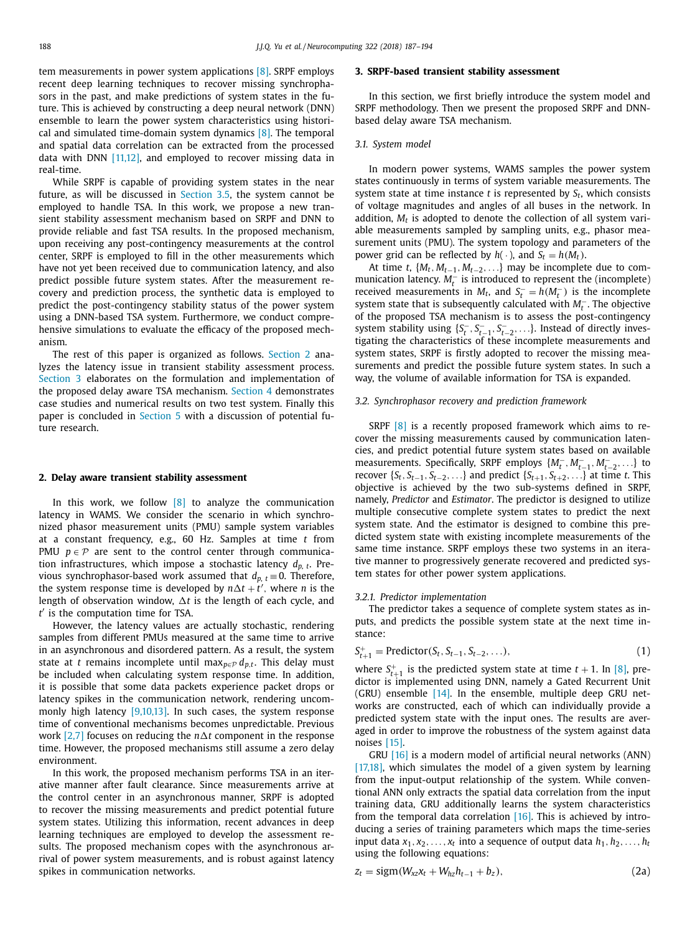<span id="page-1-0"></span>tem measurements in power system applications [\[8\].](#page-7-0) SRPF employs recent deep learning techniques to recover missing synchrophasors in the past, and make predictions of system states in the future. This is achieved by constructing a deep neural network (DNN) ensemble to learn the power system characteristics using historical and simulated time-domain system dynamics  $[8]$ . The temporal and spatial data correlation can be extracted from the processed data with DNN [\[11,12\],](#page-7-0) and employed to recover missing data in real-time.

While SRPF is capable of providing system states in the near future, as will be discussed in [Section](#page-3-0) 3.5, the system cannot be employed to handle TSA. In this work, we propose a new transient stability assessment mechanism based on SRPF and DNN to provide reliable and fast TSA results. In the proposed mechanism, upon receiving any post-contingency measurements at the control center, SRPF is employed to fill in the other measurements which have not yet been received due to communication latency, and also predict possible future system states. After the measurement recovery and prediction process, the synthetic data is employed to predict the post-contingency stability status of the power system using a DNN-based TSA system. Furthermore, we conduct comprehensive simulations to evaluate the efficacy of the proposed mechanism.

The rest of this paper is organized as follows. Section 2 analyzes the latency issue in transient stability assessment process. Section 3 elaborates on the formulation and implementation of the proposed delay aware TSA mechanism. [Section](#page-3-0) 4 demonstrates case studies and numerical results on two test system. Finally this paper is concluded in [Section](#page-6-0) 5 with a discussion of potential future research.

#### **2. Delay aware transient stability assessment**

In this work, we follow  $\begin{bmatrix} 8 \end{bmatrix}$  to analyze the communication latency in WAMS. We consider the scenario in which synchronized phasor measurement units (PMU) sample system variables at a constant frequency, e.g., 60 Hz. Samples at time *t* from PMU  $p \in \mathcal{P}$  are sent to the control center through communication infrastructures, which impose a stochastic latency *dp, <sup>t</sup>*. Previous synchrophasor-based work assumed that  $d_{p, t} \equiv 0$ . Therefore, the system response time is developed by  $n\Delta t + t'$ , where *n* is the length of observation window,  $\Delta t$  is the length of each cycle, and *t* is the computation time for TSA.

However, the latency values are actually stochastic, rendering samples from different PMUs measured at the same time to arrive in an asynchronous and disordered pattern. As a result, the system state at *t* remains incomplete until max<sub> $p \in \mathcal{P}$ </sub>  $d_{p,t}$ . This delay must be included when calculating system response time. In addition, it is possible that some data packets experience packet drops or latency spikes in the communication network, rendering uncom-monly high latency [\[9,10,13\].](#page-7-0) In such cases, the system response time of conventional mechanisms becomes unpredictable. Previous work  $[2,7]$  focuses on reducing the  $n\Delta t$  component in the response time. However, the proposed mechanisms still assume a zero delay environment.

In this work, the proposed mechanism performs TSA in an iterative manner after fault clearance. Since measurements arrive at the control center in an asynchronous manner, SRPF is adopted to recover the missing measurements and predict potential future system states. Utilizing this information, recent advances in deep learning techniques are employed to develop the assessment results. The proposed mechanism copes with the asynchronous arrival of power system measurements, and is robust against latency spikes in communication networks.

# **3. SRPF-based transient stability assessment**

In this section, we first briefly introduce the system model and SRPF methodology. Then we present the proposed SRPF and DNNbased delay aware TSA mechanism.

# *3.1. System model*

In modern power systems, WAMS samples the power system states continuously in terms of system variable measurements. The system state at time instance *t* is represented by *St*, which consists of voltage magnitudes and angles of all buses in the network. In addition, *Mt* is adopted to denote the collection of all system variable measurements sampled by sampling units, e.g., phasor measurement units (PMU). The system topology and parameters of the power grid can be reflected by  $h(\cdot)$ , and  $S_t = h(M_t)$ .

At time *t*,  ${M_t, M_{t-1}, M_{t-2}, ...}$  may be incomplete due to communication latency.  $M_t^-$  is introduced to represent the (incomplete) received measurements in  $M_t$ , and  $S_t^- = h(M_t^-)$  is the incomplete system state that is subsequently calculated with  $M_t^-$ . The objective of the proposed TSA mechanism is to assess the post-contingency system stability using  $\{S_t^-, S_{t-1}^-, S_{t-2}^-, ...\}$ . Instead of directly investigating the characteristics of these incomplete measurements and system states, SRPF is firstly adopted to recover the missing measurements and predict the possible future system states. In such a way, the volume of available information for TSA is expanded.

## *3.2. Synchrophasor recovery and prediction framework*

SRPF [\[8\]](#page-7-0) is a recently proposed framework which aims to recover the missing measurements caused by communication latencies, and predict potential future system states based on available measurements. Specifically, SRPF employs  $\{M_t^-, M_{t-1}^-, M_{t-2}^-, ...\}$  to recover  ${S_t, S_{t-1}, S_{t-2}, ...}$  and predict  ${S_{t+1}, S_{t+2}, ...}$  at time *t*. This objective is achieved by the two sub-systems defined in SRPF, namely, *Predictor* and *Estimator*. The predictor is designed to utilize multiple consecutive complete system states to predict the next system state. And the estimator is designed to combine this predicted system state with existing incomplete measurements of the same time instance. SRPF employs these two systems in an iterative manner to progressively generate recovered and predicted system states for other power system applications.

### *3.2.1. Predictor implementation*

The predictor takes a sequence of complete system states as inputs, and predicts the possible system state at the next time instance:

$$
S_{t+1}^{+} = \text{Predictor}(S_t, S_{t-1}, S_{t-2}, \ldots),
$$
\n(1)

where  $S_{t+1}^+$  is the predicted system state at time  $t + 1$ . In [\[8\],](#page-7-0) predictor is implemented using DNN, namely a Gated Recurrent Unit (GRU) ensemble [\[14\].](#page-7-0) In the ensemble, multiple deep GRU networks are constructed, each of which can individually provide a predicted system state with the input ones. The results are averaged in order to improve the robustness of the system against data noises [\[15\].](#page-7-0)

GRU [\[16\]](#page-7-0) is a modern model of artificial neural networks (ANN) [\[17,18\],](#page-7-0) which simulates the model of a given system by learning from the input-output relationship of the system. While conventional ANN only extracts the spatial data correlation from the input training data, GRU additionally learns the system characteristics from the temporal data correlation  $[16]$ . This is achieved by introducing a series of training parameters which maps the time-series input data  $x_1, x_2, \ldots, x_t$  into a sequence of output data  $h_1, h_2, \ldots, h_t$ using the following equations:

$$
z_t = \text{sigm}(W_{xz}x_t + W_{hz}h_{t-1} + b_z), \qquad (2a)
$$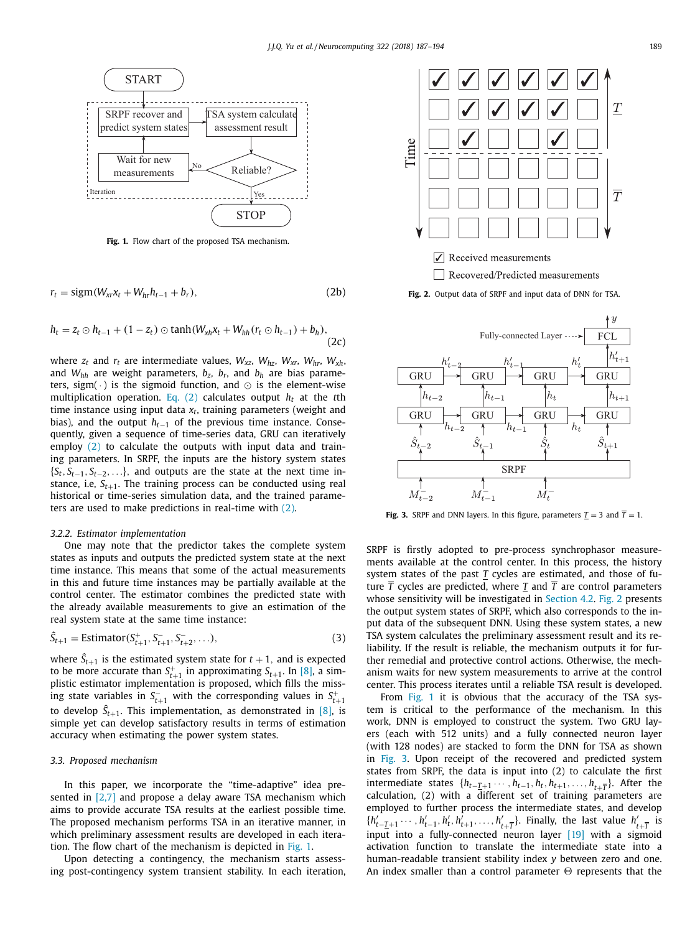<span id="page-2-0"></span>

**Fig. 1.** Flow chart of the proposed TSA mechanism.

$$
r_t = \text{sigm}(W_{xr}x_t + W_{hr}h_{t-1} + b_r),\tag{2b}
$$

$$
h_t = z_t \odot h_{t-1} + (1 - z_t) \odot \tanh(W_{xh}x_t + W_{hh}(r_t \odot h_{t-1}) + b_h),
$$
\n(2c)

where  $z_t$  and  $r_t$  are intermediate values,  $W_{xz}$ ,  $W_{hz}$ ,  $W_{xr}$ ,  $W_{xh}$ ,  $W_{xh}$ , and  $W_{hh}$  are weight parameters,  $b_z$ ,  $b_r$ , and  $b_h$  are bias parameters, sigm( ) is the sigmoid function, and  $\odot$  is the element-wise multiplication operation. [Eq.](#page-1-0)  $(2)$  calculates output  $h_t$  at the *t*th time instance using input data  $x_t$ , training parameters (weight and bias), and the output  $h_{t-1}$  of the previous time instance. Consequently, given a sequence of time-series data, GRU can iteratively employ [\(2\)](#page-1-0) to calculate the outputs with input data and training parameters. In SRPF, the inputs are the history system states {*St*, *St*<sup>−</sup>1, *St*<sup>−</sup>2, . . .}, and outputs are the state at the next time instance, i.e,  $S_{t+1}$ . The training process can be conducted using real historical or time-series simulation data, and the trained parameters are used to make predictions in real-time with [\(2\).](#page-1-0)

# *3.2.2. Estimator implementation*

One may note that the predictor takes the complete system states as inputs and outputs the predicted system state at the next time instance. This means that some of the actual measurements in this and future time instances may be partially available at the control center. The estimator combines the predicted state with the already available measurements to give an estimation of the real system state at the same time instance:

$$
\hat{S}_{t+1} = Estimator(S_{t+1}^+, S_{t+1}^-, S_{t+2}^-, \dots),
$$
\n(3)

where  $\hat{S}_{t+1}$  is the estimated system state for  $t+1,$  and is expected to be more accurate than  $S^+_{t+1}$  in approximating  $S_{t+1}$ . In [\[8\],](#page-7-0) a simplistic estimator implementation is proposed, which fills the miss- $\sum_{t=1}^T$  ing state variables in  $S_{t+1}^-$  with the corresponding values in  $S_{t+1}^+$ to develop  $\widehat{S}_{t+1}.$  This implementation, as demonstrated in [\[8\],](#page-7-0) is simple yet can develop satisfactory results in terms of estimation accuracy when estimating the power system states.

# *3.3. Proposed mechanism*

In this paper, we incorporate the "time-adaptive" idea presented in  $[2,7]$  and propose a delay aware TSA mechanism which aims to provide accurate TSA results at the earliest possible time. The proposed mechanism performs TSA in an iterative manner, in which preliminary assessment results are developed in each iteration. The flow chart of the mechanism is depicted in Fig. 1.

Upon detecting a contingency, the mechanism starts assessing post-contingency system transient stability. In each iteration,



**Fig. 2.** Output data of SRPF and input data of DNN for TSA.



**Fig. 3.** SRPF and DNN layers. In this figure, parameters  $\underline{T} = 3$  and  $\overline{T} = 1$ .

SRPF is firstly adopted to pre-process synchrophasor measurements available at the control center. In this process, the history system states of the past *T* cycles are estimated, and those of future  $\overline{T}$  cycles are predicted, where  $\underline{T}$  and  $\overline{T}$  are control parameters whose sensitivity will be investigated in [Section](#page-4-0) 4.2. Fig. 2 presents the output system states of SRPF, which also corresponds to the input data of the subsequent DNN. Using these system states, a new TSA system calculates the preliminary assessment result and its reliability. If the result is reliable, the mechanism outputs it for further remedial and protective control actions. Otherwise, the mechanism waits for new system measurements to arrive at the control center. This process iterates until a reliable TSA result is developed.

From Fig. 1 it is obvious that the accuracy of the TSA system is critical to the performance of the mechanism. In this work, DNN is employed to construct the system. Two GRU layers (each with 512 units) and a fully connected neuron layer (with 128 nodes) are stacked to form the DNN for TSA as shown in Fig. 3. Upon receipt of the recovered and predicted system states from SRPF, the data is input into (2) to calculate the first intermediate states  $\{h_{t-T+1}, \ldots, h_{t-1}, h_t, h_{t+1}, \ldots, h_{t+\overline{T}}\}$ . After the calculation, (2) with a different set of training parameters are employed to further process the intermediate states, and develop  $\{h'_{t-T+1} \cdots, h'_{t-1}, h'_{t}, h'_{t+1}, \ldots, h'_{t+\overline{T}}\}$ . Finally, the last value  $h'_{t+\overline{T}}$  is input into a fully-connected neuron layer  $[19]$  with a sigmoid activation function to translate the intermediate state into a human-readable transient stability index *y* between zero and one. An index smaller than a control parameter  $\Theta$  represents that the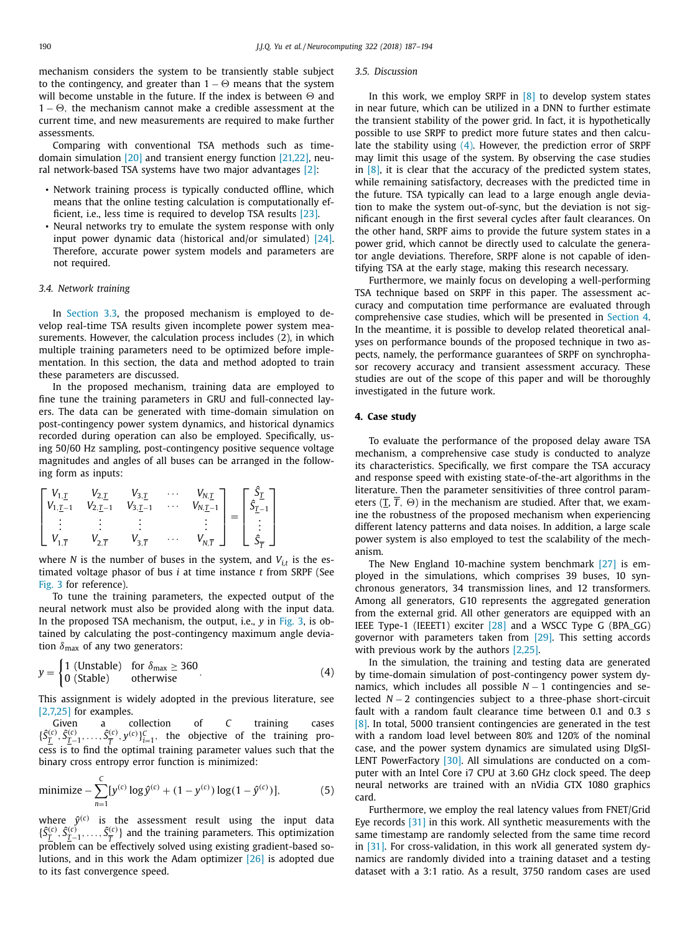<span id="page-3-0"></span>mechanism considers the system to be transiently stable subject to the contingency, and greater than  $1 - \Theta$  means that the system will become unstable in the future. If the index is between  $\Theta$  and  $1 - \Theta$ , the mechanism cannot make a credible assessment at the current time, and new measurements are required to make further assessments.

Comparing with conventional TSA methods such as timedomain simulation [\[20\]](#page-7-0) and transient energy function [\[21,22\],](#page-7-0) neural network-based TSA systems have two major advantages [\[2\]:](#page-6-0)

- Network training process is typically conducted offline, which means that the online testing calculation is computationally efficient, i.e., less time is required to develop TSA results [\[23\].](#page-7-0)
- Neural networks try to emulate the system response with only input power dynamic data (historical and/or simulated) [\[24\].](#page-7-0) Therefore, accurate power system models and parameters are not required.

# *3.4. Network training*

In [Section](#page-2-0) 3.3, the proposed mechanism is employed to develop real-time TSA results given incomplete power system measurements. However, the calculation process includes (2), in which multiple training parameters need to be optimized before implementation. In this section, the data and method adopted to train these parameters are discussed.

In the proposed mechanism, training data are employed to fine tune the training parameters in GRU and full-connected layers. The data can be generated with time-domain simulation on post-contingency power system dynamics, and historical dynamics recorded during operation can also be employed. Specifically, using 50/60 Hz sampling, post-contingency positive sequence voltage magnitudes and angles of all buses can be arranged in the following form as inputs:

$$
\begin{bmatrix}\nV_{1,\underline{T}} & V_{2,\underline{T}} & V_{3,\underline{T}} & \cdots & V_{N,\underline{T}} \\
V_{1,\underline{T}-1} & V_{2,\underline{T}-1} & V_{3,\underline{T}-1} & \cdots & V_{N,\underline{T}-1} \\
\vdots & \vdots & \vdots & & \vdots \\
V_{1,\overline{T}} & V_{2,\overline{T}} & V_{3,\overline{T}} & \cdots & V_{N,\overline{T}}\n\end{bmatrix} = \begin{bmatrix}\n\hat{S}_{\underline{T}} \\
\hat{S}_{\underline{T}-1} \\
\vdots \\
\hat{S}_{\overline{T}}\n\end{bmatrix}
$$

where *N* is the number of buses in the system, and  $V_{it}$  is the estimated voltage phasor of bus *i* at time instance *t* from SRPF (See [Fig.](#page-2-0) 3 for reference).

To tune the training parameters, the expected output of the neural network must also be provided along with the input data. In the proposed TSA mechanism, the output, i.e., *y* in [Fig.](#page-2-0) 3, is obtained by calculating the post-contingency maximum angle deviation  $\delta_{\text{max}}$  of any two generators:

$$
y = \begin{cases} 1 \text{ (Unstable)} & \text{for } \delta_{\text{max}} \ge 360 \\ 0 \text{ (Stable)} & \text{otherwise} \end{cases} \tag{4}
$$

This assignment is widely adopted in the previous literature, see [\[2,7,25\]](#page-6-0) for examples.

Given a collection of *C* training cases  $\{\hat{S}_{\underline{T}}^{(c)}, \hat{S}_{\underline{T}-1}^{(c)}, \dots, \hat{S}_{\overline{T}}^{(c)}, y^{(c)}\}_{i=1}^C$ , the objective of the training process is to find the optimal training parameter values such that the binary cross entropy error function is minimized:

minimize 
$$
-\sum_{n=1}^{C} [y^{(c)} \log \hat{y}^{(c)} + (1 - y^{(c)}) \log(1 - \hat{y}^{(c)})],
$$
 (5)

where  $\hat{y}^{(c)}$  is the assessment result using the input data  $\{S_{\underline{T}}^{(c)}, \hat{S}_{\underline{T}-1}^{(c)}, \ldots, \hat{S}_{\overline{T}}^{(c)}\}$  and the training parameters. This optimization problem can be effectively solved using existing gradient-based solutions, and in this work the Adam optimizer [\[26\]](#page-7-0) is adopted due to its fast convergence speed.

# *3.5. Discussion*

In this work, we employ SRPF in  $[8]$  to develop system states in near future, which can be utilized in a DNN to further estimate the transient stability of the power grid. In fact, it is hypothetically possible to use SRPF to predict more future states and then calculate the stability using  $(4)$ . However, the prediction error of SRPF may limit this usage of the system. By observing the case studies in  $[8]$ , it is clear that the accuracy of the predicted system states, while remaining satisfactory, decreases with the predicted time in the future. TSA typically can lead to a large enough angle deviation to make the system out-of-sync, but the deviation is not significant enough in the first several cycles after fault clearances. On the other hand, SRPF aims to provide the future system states in a power grid, which cannot be directly used to calculate the generator angle deviations. Therefore, SRPF alone is not capable of identifying TSA at the early stage, making this research necessary.

Furthermore, we mainly focus on developing a well-performing TSA technique based on SRPF in this paper. The assessment accuracy and computation time performance are evaluated through comprehensive case studies, which will be presented in Section 4. In the meantime, it is possible to develop related theoretical analyses on performance bounds of the proposed technique in two aspects, namely, the performance guarantees of SRPF on synchrophasor recovery accuracy and transient assessment accuracy. These studies are out of the scope of this paper and will be thoroughly investigated in the future work.

# **4. Case study**

To evaluate the performance of the proposed delay aware TSA mechanism, a comprehensive case study is conducted to analyze its characteristics. Specifically, we first compare the TSA accuracy and response speed with existing state-of-the-art algorithms in the literature. Then the parameter sensitivities of three control parameters  $(\mathbf{I}, \overline{T}, \Theta)$  in the mechanism are studied. After that, we examine the robustness of the proposed mechanism when experiencing different latency patterns and data noises. In addition, a large scale power system is also employed to test the scalability of the mechanism.

The New England 10-machine system benchmark [\[27\]](#page-7-0) is employed in the simulations, which comprises 39 buses, 10 synchronous generators, 34 transmission lines, and 12 transformers. Among all generators, G10 represents the aggregated generation from the external grid. All other generators are equipped with an IEEE Type-1 (IEEET1) exciter [\[28\]](#page-7-0) and a WSCC Type G (BPA\_GG) governor with parameters taken from [\[29\].](#page-7-0) This setting accords with previous work by the authors [\[2,25\].](#page-6-0)

In the simulation, the training and testing data are generated by time-domain simulation of post-contingency power system dynamics, which includes all possible *N* − 1 contingencies and selected *N* − 2 contingencies subject to a three-phase short-circuit fault with a random fault clearance time between 0.1 and 0.3 s [\[8\].](#page-7-0) In total, 5000 transient contingencies are generated in the test with a random load level between 80% and 120% of the nominal case, and the power system dynamics are simulated using DIgSI-LENT PowerFactory [\[30\].](#page-7-0) All simulations are conducted on a computer with an Intel Core i7 CPU at 3.60 GHz clock speed. The deep neural networks are trained with an nVidia GTX 1080 graphics card.

Furthermore, we employ the real latency values from FNET/Grid Eye records [\[31\]](#page-7-0) in this work. All synthetic measurements with the same timestamp are randomly selected from the same time record in [\[31\].](#page-7-0) For cross-validation, in this work all generated system dynamics are randomly divided into a training dataset and a testing dataset with a 3:1 ratio. As a result, 3750 random cases are used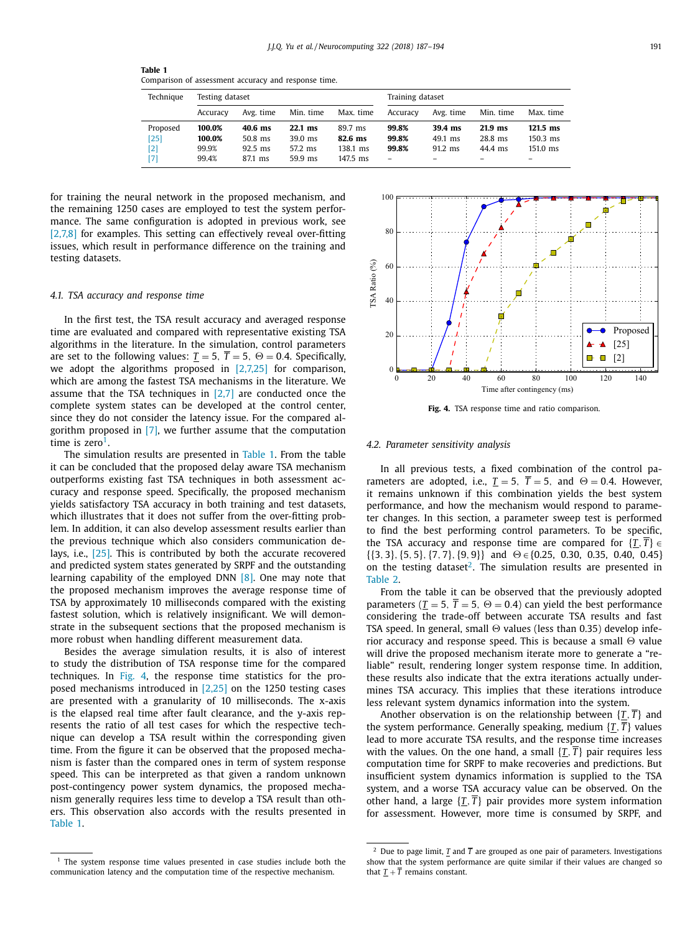| Comparison of assessment accuracy and response time. |                 |                   |                   |                    |                  |           |           |                    |  |
|------------------------------------------------------|-----------------|-------------------|-------------------|--------------------|------------------|-----------|-----------|--------------------|--|
| Technique                                            | Testing dataset |                   |                   |                    | Training dataset |           |           |                    |  |
|                                                      | Accuracy        | Avg. time         | Min. time         | Max. time          | Accuracy         | Avg. time | Min. time | Max. time          |  |
| Proposed                                             | 100.0%          | 40.6 ms           | $22.1 \text{ ms}$ | 89.7 ms            | 99.8%            | 39.4 ms   | $21.9$ ms | $121.5 \text{ ms}$ |  |
| [25]                                                 | 100.0%          | $50.8$ ms         | $39.0$ ms         | 82.6 ms            | 99.8%            | 49.1 ms   | 28.8 ms   | $150.3$ ms         |  |
| [2]                                                  | 99.9%           | $92.5 \text{ ms}$ | 57.2 ms           | $138.1 \text{ ms}$ | 99.8%            | $91.2$ ms | 44.4 ms   | $151.0$ ms         |  |
| [7]                                                  | 99.4%           | 87.1 ms           | 59.9 ms           | $147.5$ ms         | -                |           |           |                    |  |

for training the neural network in the proposed mechanism, and the remaining 1250 cases are employed to test the system performance. The same configuration is adopted in previous work, see [\[2,7,8\]](#page-6-0) for examples. This setting can effectively reveal over-fitting issues, which result in performance difference on the training and testing datasets.

### *4.1. TSA accuracy and response time*

<span id="page-4-0"></span>**Table 1**

In the first test, the TSA result accuracy and averaged response time are evaluated and compared with representative existing TSA algorithms in the literature. In the simulation, control parameters are set to the following values:  $\underline{T} = 5$ ,  $\overline{T} = 5$ ,  $\Theta = 0.4$ . Specifically, we adopt the algorithms proposed in [\[2,7,25\]](#page-6-0) for comparison, which are among the fastest TSA mechanisms in the literature. We assume that the TSA techniques in  $[2,7]$  are conducted once the complete system states can be developed at the control center, since they do not consider the latency issue. For the compared algorithm proposed in [\[7\],](#page-7-0) we further assume that the computation time is  $zeta^1$ 

The simulation results are presented in Table 1. From the table it can be concluded that the proposed delay aware TSA mechanism outperforms existing fast TSA techniques in both assessment accuracy and response speed. Specifically, the proposed mechanism yields satisfactory TSA accuracy in both training and test datasets, which illustrates that it does not suffer from the over-fitting problem. In addition, it can also develop assessment results earlier than the previous technique which also considers communication delays, i.e., [\[25\].](#page-7-0) This is contributed by both the accurate recovered and predicted system states generated by SRPF and the outstanding learning capability of the employed DNN [\[8\].](#page-7-0) One may note that the proposed mechanism improves the average response time of TSA by approximately 10 milliseconds compared with the existing fastest solution, which is relatively insignificant. We will demonstrate in the subsequent sections that the proposed mechanism is more robust when handling different measurement data.

Besides the average simulation results, it is also of interest to study the distribution of TSA response time for the compared techniques. In Fig. 4, the response time statistics for the proposed mechanisms introduced in [\[2,25\]](#page-6-0) on the 1250 testing cases are presented with a granularity of 10 milliseconds. The x-axis is the elapsed real time after fault clearance, and the y-axis represents the ratio of all test cases for which the respective technique can develop a TSA result within the corresponding given time. From the figure it can be observed that the proposed mechanism is faster than the compared ones in term of system response speed. This can be interpreted as that given a random unknown post-contingency power system dynamics, the proposed mechanism generally requires less time to develop a TSA result than others. This observation also accords with the results presented in Table 1.





**Fig. 4.** TSA response time and ratio comparison.

### *4.2. Parameter sensitivity analysis*

In all previous tests, a fixed combination of the control parameters are adopted, i.e.,  $T = 5$ ,  $\overline{T} = 5$ , and  $\Theta = 0.4$ . However, it remains unknown if this combination yields the best system performance, and how the mechanism would respond to parameter changes. In this section, a parameter sweep test is performed to find the best performing control parameters. To be specific, the TSA accuracy and response time are compared for  ${T, \overline{T}} \in$  $\{\{3, 3\}, \{5, 5\}, \{7, 7\}, \{9, 9\}\}$  and  $\Theta \in \{0.25, 0.30, 0.35, 0.40, 0.45\}$ on the testing dataset<sup>2</sup>. The simulation results are presented in [Table](#page-5-0) 2.

From the table it can be observed that the previously adopted parameters ( $\underline{T} = 5$ ,  $\overline{T} = 5$ ,  $\Theta = 0.4$ ) can yield the best performance considering the trade-off between accurate TSA results and fast TSA speed. In general, small  $\Theta$  values (less than 0.35) develop inferior accuracy and response speed. This is because a small  $\Theta$  value will drive the proposed mechanism iterate more to generate a "reliable" result, rendering longer system response time. In addition, these results also indicate that the extra iterations actually undermines TSA accuracy. This implies that these iterations introduce less relevant system dynamics information into the system.

Another observation is on the relationship between  $\{T, \overline{T}\}\$  and the system performance. Generally speaking, medium  $\{T, \overline{T}\}$  values lead to more accurate TSA results, and the response time increases with the values. On the one hand, a small  $\{T, \overline{T}\}$  pair requires less computation time for SRPF to make recoveries and predictions. But insufficient system dynamics information is supplied to the TSA system, and a worse TSA accuracy value can be observed. On the other hand, a large  $\{\underline{T}, \overline{T}\}$  pair provides more system information for assessment. However, more time is consumed by SRPF, and

<sup>&</sup>lt;sup>2</sup> Due to page limit,  $\underline{T}$  and  $\overline{T}$  are grouped as one pair of parameters. Investigations show that the system performance are quite similar if their values are changed so that  $\underline{T} + \overline{T}$  remains constant.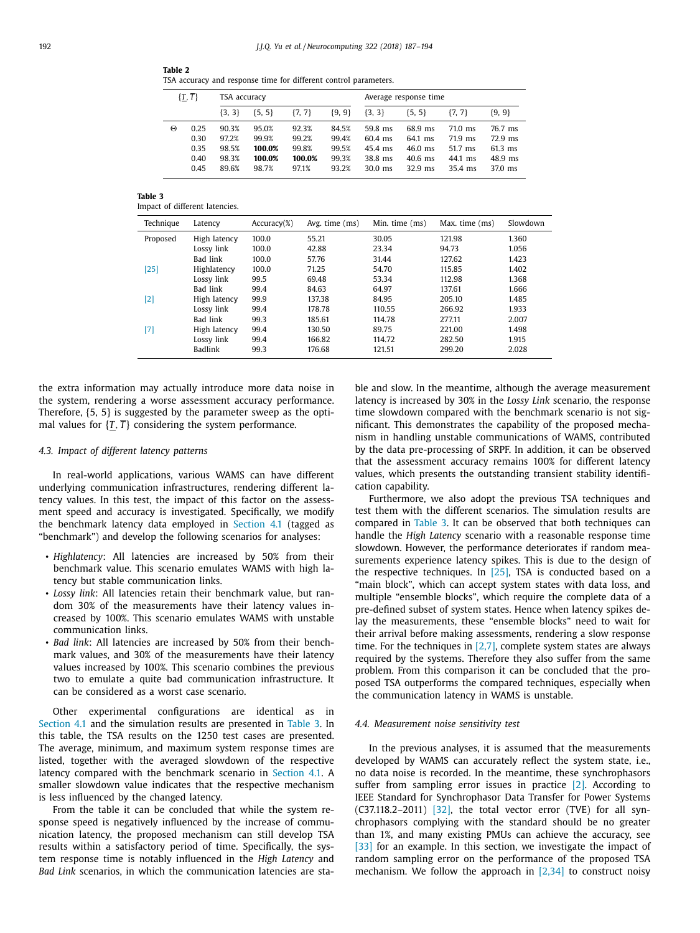<span id="page-5-0"></span>**Table 2** TSA accuracy and response time for different control parameters.

| $\{T,\overline{T}\}$ |                                      | TSA accuracy                              |                                             |                                            |                                           | Average response time                                 |                                                          |                                                       |                                                         |
|----------------------|--------------------------------------|-------------------------------------------|---------------------------------------------|--------------------------------------------|-------------------------------------------|-------------------------------------------------------|----------------------------------------------------------|-------------------------------------------------------|---------------------------------------------------------|
|                      |                                      | $\{3, 3\}$                                | ${5, 5}$                                    | $\{7, 7\}$                                 | ${9, 9}$                                  | $\{3, 3\}$                                            | ${5, 5}$                                                 | $\{7, 7\}$                                            | ${9.9}$                                                 |
| $\Theta$             | 0.25<br>0.30<br>0.35<br>0.40<br>0.45 | 90.3%<br>97.2%<br>98.5%<br>98.3%<br>89.6% | 95.0%<br>99.9%<br>100.0%<br>100.0%<br>98.7% | 92.3%<br>99.2%<br>99.8%<br>100.0%<br>97.1% | 84.5%<br>99.4%<br>99.5%<br>99.3%<br>93.2% | 59.8 ms<br>60.4 ms<br>45.4 ms<br>38.8 ms<br>$30.0$ ms | 68.9 ms<br>64.1 ms<br>$46.0$ ms<br>$40.6$ ms<br>$329$ ms | 71.0 ms<br>71.9 ms<br>51.7 ms<br>44.1 ms<br>$35.4$ ms | 76.7 ms<br>$72.9$ ms<br>$61.3$ ms<br>48.9 ms<br>37.0 ms |

**Table 3** Impact of different latencies.

| Technique         | Latency         | $Accuracy$ (%) | Avg. time $(ms)$ | Min. time (ms) | Max. time (ms) | Slowdown |
|-------------------|-----------------|----------------|------------------|----------------|----------------|----------|
| Proposed          | High latency    | 100.0          | 55.21            | 30.05          | 121.98         | 1.360    |
|                   | Lossy link      | 100.0          | 42.88            | 23.34          | 94.73          | 1.056    |
|                   | <b>Bad link</b> | 100.0          | 57.76            | 31.44          | 127.62         | 1.423    |
| [25]              | Highlatency     | 100.0          | 71.25            | 54.70          | 115.85         | 1.402    |
|                   | Lossy link      | 99.5           | 69.48            | 53.34          | 112.98         | 1.368    |
|                   | Bad link        | 99.4           | 84.63            | 64.97          | 137.61         | 1.666    |
| $\left[ 2\right]$ | High latency    | 99.9           | 137.38           | 84.95          | 205.10         | 1.485    |
|                   | Lossy link      | 99.4           | 178.78           | 110.55         | 266.92         | 1.933    |
|                   | <b>Bad link</b> | 99.3           | 185.61           | 114.78         | 277.11         | 2.007    |
| [7]               | High latency    | 99.4           | 130.50           | 89.75          | 221.00         | 1.498    |
|                   | Lossy link      | 99.4           | 166.82           | 114.72         | 282.50         | 1.915    |
|                   | Badlink         | 99.3           | 176.68           | 121.51         | 299.20         | 2.028    |

the extra information may actually introduce more data noise in the system, rendering a worse assessment accuracy performance. Therefore, {5, 5} is suggested by the parameter sweep as the optimal values for  $\{T, \overline{T}\}$  considering the system performance.

### *4.3. Impact of different latency patterns*

In real-world applications, various WAMS can have different underlying communication infrastructures, rendering different latency values. In this test, the impact of this factor on the assessment speed and accuracy is investigated. Specifically, we modify the benchmark latency data employed in [Section](#page-4-0) 4.1 (tagged as "benchmark") and develop the following scenarios for analyses:

- *Highlatency*: All latencies are increased by 50% from their benchmark value. This scenario emulates WAMS with high latency but stable communication links.
- *Lossy link*: All latencies retain their benchmark value, but random 30% of the measurements have their latency values increased by 100%. This scenario emulates WAMS with unstable communication links.
- *Bad link*: All latencies are increased by 50% from their benchmark values, and 30% of the measurements have their latency values increased by 100%. This scenario combines the previous two to emulate a quite bad communication infrastructure. It can be considered as a worst case scenario.

Other experimental configurations are identical as in [Section](#page-4-0) 4.1 and the simulation results are presented in Table 3. In this table, the TSA results on the 1250 test cases are presented. The average, minimum, and maximum system response times are listed, together with the averaged slowdown of the respective latency compared with the benchmark scenario in [Section](#page-4-0) 4.1. A smaller slowdown value indicates that the respective mechanism is less influenced by the changed latency.

From the table it can be concluded that while the system response speed is negatively influenced by the increase of communication latency, the proposed mechanism can still develop TSA results within a satisfactory period of time. Specifically, the system response time is notably influenced in the *High Latency* and *Bad Link* scenarios, in which the communication latencies are stable and slow. In the meantime, although the average measurement latency is increased by 30% in the *Lossy Link* scenario, the response time slowdown compared with the benchmark scenario is not significant. This demonstrates the capability of the proposed mechanism in handling unstable communications of WAMS, contributed by the data pre-processing of SRPF. In addition, it can be observed that the assessment accuracy remains 100% for different latency values, which presents the outstanding transient stability identification capability.

Furthermore, we also adopt the previous TSA techniques and test them with the different scenarios. The simulation results are compared in Table 3. It can be observed that both techniques can handle the *High Latency* scenario with a reasonable response time slowdown. However, the performance deteriorates if random measurements experience latency spikes. This is due to the design of the respective techniques. In  $[25]$ , TSA is conducted based on a "main block", which can accept system states with data loss, and multiple "ensemble blocks", which require the complete data of a pre-defined subset of system states. Hence when latency spikes delay the measurements, these "ensemble blocks" need to wait for their arrival before making assessments, rendering a slow response time. For the techniques in  $[2,7]$ , complete system states are always required by the systems. Therefore they also suffer from the same problem. From this comparison it can be concluded that the proposed TSA outperforms the compared techniques, especially when the communication latency in WAMS is unstable.

#### *4.4. Measurement noise sensitivity test*

In the previous analyses, it is assumed that the measurements developed by WAMS can accurately reflect the system state, i.e., no data noise is recorded. In the meantime, these synchrophasors suffer from sampling error issues in practice [\[2\].](#page-6-0) According to IEEE Standard for Synchrophasor Data Transfer for Power Systems  $(C37.118.2-2011)$   $[32]$ , the total vector error (TVE) for all synchrophasors complying with the standard should be no greater than 1%, and many existing PMUs can achieve the accuracy, see [\[33\]](#page-7-0) for an example. In this section, we investigate the impact of random sampling error on the performance of the proposed TSA mechanism. We follow the approach in  $[2,34]$  to construct noisy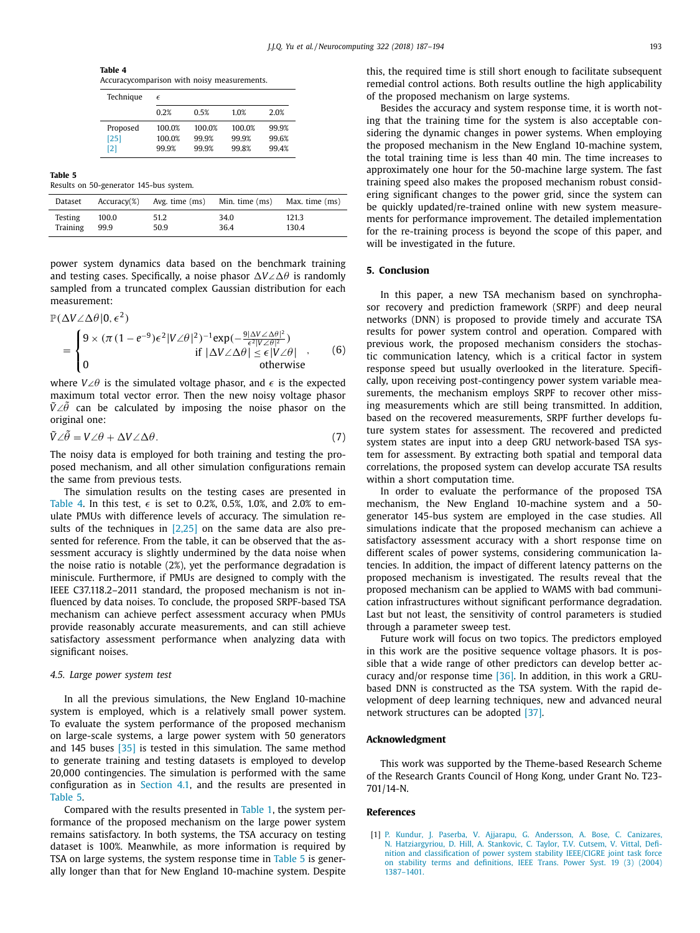<span id="page-6-0"></span>**Table 4** Accuracycomparison with noisy measurements.

| Technique | $\epsilon$ |        |        |       |  |  |  |
|-----------|------------|--------|--------|-------|--|--|--|
|           | 0.2%       | 0.5%   | 1.0%   | 2.0%  |  |  |  |
| Proposed  | 100.0%     | 100.0% | 100.0% | 99.9% |  |  |  |
| [25]      | 100.0%     | 99.9%  | 99.9%  | 99.6% |  |  |  |
| [2]       | 99.9%      | 99.9%  | 99.8%  | 99.4% |  |  |  |

| Table 5<br>Results on 50-generator 145-bus system. |                |                |                |                |  |  |  |
|----------------------------------------------------|----------------|----------------|----------------|----------------|--|--|--|
| Dataset                                            | $Accuracy$ (%) | Avg. time (ms) | Min. time (ms) | Max. time (ms) |  |  |  |
| <b>Testing</b>                                     | 100.0          | 51.2           | 34.0           | 121.3          |  |  |  |
| Training                                           | 99.9           | 50.9           | 36.4           | 130.4          |  |  |  |

power system dynamics data based on the benchmark training and testing cases. Specifically, a noise phasor  $\Delta V \angle \Delta \theta$  is randomly sampled from a truncated complex Gaussian distribution for each measurement:

$$
\mathbb{P}(\Delta V \angle \Delta \theta | 0, \epsilon^2)
$$
\n
$$
= \begin{cases}\n9 \times (\pi (1 - e^{-9}) \epsilon^2 |V \angle \theta|^2)^{-1} \exp(-\frac{9|\Delta V \angle \Delta \theta|^2}{\epsilon^2 |V \angle \theta|^2}) \\
0 \\
0\n\end{cases}
$$
\n
$$
\text{if } |\Delta V \angle \Delta \theta| \le \epsilon |V \angle \theta| , \qquad (6)
$$
\n
$$
\text{otherwise}
$$

where  $V\angle\theta$  is the simulated voltage phasor, and  $\epsilon$  is the expected maximum total vector error. Then the new noisy voltage phasor  $\tilde{V}\angle\theta$  can be calculated by imposing the noise phasor on the original one:

$$
\tilde{V}\angle\tilde{\theta} = V\angle\theta + \Delta V\angle\Delta\theta. \tag{7}
$$

The noisy data is employed for both training and testing the proposed mechanism, and all other simulation configurations remain the same from previous tests.

The simulation results on the testing cases are presented in Table 4. In this test,  $\epsilon$  is set to 0.2%, 0.5%, 1.0%, and 2.0% to emulate PMUs with difference levels of accuracy. The simulation results of the techniques in [2,25] on the same data are also presented for reference. From the table, it can be observed that the assessment accuracy is slightly undermined by the data noise when the noise ratio is notable (2%), yet the performance degradation is miniscule. Furthermore, if PMUs are designed to comply with the IEEE C37.118.2–2011 standard, the proposed mechanism is not influenced by data noises. To conclude, the proposed SRPF-based TSA mechanism can achieve perfect assessment accuracy when PMUs provide reasonably accurate measurements, and can still achieve satisfactory assessment performance when analyzing data with significant noises.

# *4.5. Large power system test*

In all the previous simulations, the New England 10-machine system is employed, which is a relatively small power system. To evaluate the system performance of the proposed mechanism on large-scale systems, a large power system with 50 generators and 145 buses [\[35\]](#page-7-0) is tested in this simulation. The same method to generate training and testing datasets is employed to develop 20,000 contingencies. The simulation is performed with the same configuration as in [Section](#page-4-0) 4.1, and the results are presented in Table 5.

Compared with the results presented in [Table](#page-4-0) 1, the system performance of the proposed mechanism on the large power system remains satisfactory. In both systems, the TSA accuracy on testing dataset is 100%. Meanwhile, as more information is required by TSA on large systems, the system response time in Table 5 is generally longer than that for New England 10-machine system. Despite this, the required time is still short enough to facilitate subsequent remedial control actions. Both results outline the high applicability of the proposed mechanism on large systems.

Besides the accuracy and system response time, it is worth noting that the training time for the system is also acceptable considering the dynamic changes in power systems. When employing the proposed mechanism in the New England 10-machine system, the total training time is less than 40 min. The time increases to approximately one hour for the 50-machine large system. The fast training speed also makes the proposed mechanism robust considering significant changes to the power grid, since the system can be quickly updated/re-trained online with new system measurements for performance improvement. The detailed implementation for the re-training process is beyond the scope of this paper, and will be investigated in the future.

# **5. Conclusion**

In this paper, a new TSA mechanism based on synchrophasor recovery and prediction framework (SRPF) and deep neural networks (DNN) is proposed to provide timely and accurate TSA results for power system control and operation. Compared with previous work, the proposed mechanism considers the stochastic communication latency, which is a critical factor in system response speed but usually overlooked in the literature. Specifically, upon receiving post-contingency power system variable measurements, the mechanism employs SRPF to recover other missing measurements which are still being transmitted. In addition, based on the recovered measurements, SRPF further develops future system states for assessment. The recovered and predicted system states are input into a deep GRU network-based TSA system for assessment. By extracting both spatial and temporal data correlations, the proposed system can develop accurate TSA results within a short computation time.

In order to evaluate the performance of the proposed TSA mechanism, the New England 10-machine system and a 50 generator 145-bus system are employed in the case studies. All simulations indicate that the proposed mechanism can achieve a satisfactory assessment accuracy with a short response time on different scales of power systems, considering communication latencies. In addition, the impact of different latency patterns on the proposed mechanism is investigated. The results reveal that the proposed mechanism can be applied to WAMS with bad communication infrastructures without significant performance degradation. Last but not least, the sensitivity of control parameters is studied through a parameter sweep test.

Future work will focus on two topics. The predictors employed in this work are the positive sequence voltage phasors. It is possible that a wide range of other predictors can develop better accuracy and/or response time [\[36\].](#page-7-0) In addition, in this work a GRUbased DNN is constructed as the TSA system. With the rapid development of deep learning techniques, new and advanced neural network structures can be adopted [\[37\].](#page-7-0)

# **Acknowledgment**

This work was supported by the Theme-based Research Scheme of the Research Grants Council of Hong Kong, under Grant No. T23- 701/14-N.

#### **References**

[1] P. [Kundur,](http://refhub.elsevier.com/S0925-2312(18)31132-9/sbref0001) J. [Paserba,](http://refhub.elsevier.com/S0925-2312(18)31132-9/sbref0001) V. [Ajjarapu,](http://refhub.elsevier.com/S0925-2312(18)31132-9/sbref0001) G. [Andersson,](http://refhub.elsevier.com/S0925-2312(18)31132-9/sbref0001) A. [Bose,](http://refhub.elsevier.com/S0925-2312(18)31132-9/sbref0001) C. [Canizares,](http://refhub.elsevier.com/S0925-2312(18)31132-9/sbref0001) N. [Hatziargyriou,](http://refhub.elsevier.com/S0925-2312(18)31132-9/sbref0001) D. [Hill,](http://refhub.elsevier.com/S0925-2312(18)31132-9/sbref0001) A. [Stankovic,](http://refhub.elsevier.com/S0925-2312(18)31132-9/sbref0001) C. [Taylor,](http://refhub.elsevier.com/S0925-2312(18)31132-9/sbref0001) T.V. [Cutsem,](http://refhub.elsevier.com/S0925-2312(18)31132-9/sbref0001) V. [Vittal,](http://refhub.elsevier.com/S0925-2312(18)31132-9/sbref0001) Definition and classification of power system stability IEEE/CIGRE joint task force on stability terms and definitions, IEEE Trans. Power Syst. 19 (3) (2004) 1387–1401.